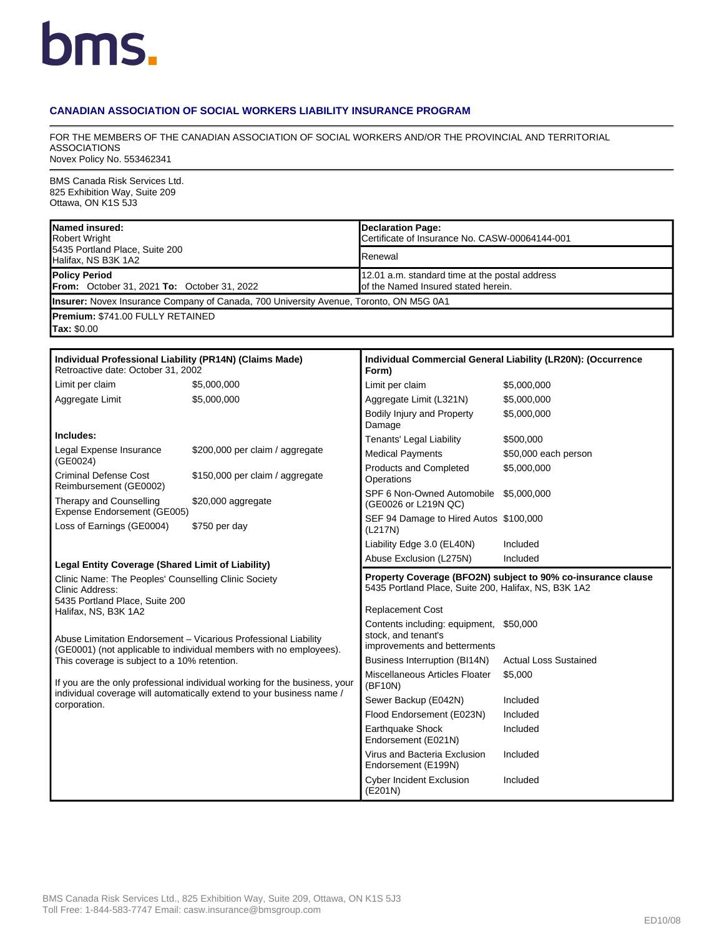## bms.

## **CANADIAN ASSOCIATION OF SOCIAL WORKERS LIABILITY INSURANCE PROGRAM**

FOR THE MEMBERS OF THE CANADIAN ASSOCIATION OF SOCIAL WORKERS AND/OR THE PROVINCIAL AND TERRITORIAL ASSOCIATIONS Novex Policy No. 553462341

BMS Canada Risk Services Ltd. 825 Exhibition Way, Suite 209 Ottawa, ON K1S 5J3

| Named insured:<br><b>Robert Wright</b>                                                                                                                                                                                                                                                                                     |                                                                                        | <b>Declaration Page:</b><br>Certificate of Insurance No. CASW-00064144-001                                           |                              |  |  |
|----------------------------------------------------------------------------------------------------------------------------------------------------------------------------------------------------------------------------------------------------------------------------------------------------------------------------|----------------------------------------------------------------------------------------|----------------------------------------------------------------------------------------------------------------------|------------------------------|--|--|
| 5435 Portland Place, Suite 200<br>Halifax, NS B3K 1A2                                                                                                                                                                                                                                                                      |                                                                                        | Renewal                                                                                                              |                              |  |  |
| <b>Policy Period</b><br><b>From:</b> October 31, 2021 <b>To:</b> October 31, 2022                                                                                                                                                                                                                                          |                                                                                        | 12.01 a.m. standard time at the postal address<br>of the Named Insured stated herein.                                |                              |  |  |
|                                                                                                                                                                                                                                                                                                                            | Insurer: Novex Insurance Company of Canada, 700 University Avenue, Toronto, ON M5G 0A1 |                                                                                                                      |                              |  |  |
| Premium: \$741.00 FULLY RETAINED                                                                                                                                                                                                                                                                                           |                                                                                        |                                                                                                                      |                              |  |  |
| Tax: \$0.00                                                                                                                                                                                                                                                                                                                |                                                                                        |                                                                                                                      |                              |  |  |
|                                                                                                                                                                                                                                                                                                                            |                                                                                        |                                                                                                                      |                              |  |  |
| Individual Professional Liability (PR14N) (Claims Made)<br>Retroactive date: October 31, 2002                                                                                                                                                                                                                              |                                                                                        | Individual Commercial General Liability (LR20N): (Occurrence<br>Form)                                                |                              |  |  |
| Limit per claim                                                                                                                                                                                                                                                                                                            | \$5,000,000                                                                            | Limit per claim                                                                                                      | \$5,000,000                  |  |  |
| Aggregate Limit                                                                                                                                                                                                                                                                                                            | \$5,000,000                                                                            | Aggregate Limit (L321N)                                                                                              | \$5,000,000                  |  |  |
|                                                                                                                                                                                                                                                                                                                            |                                                                                        | Bodily Injury and Property<br>Damage                                                                                 | \$5,000,000                  |  |  |
| Includes:                                                                                                                                                                                                                                                                                                                  |                                                                                        | Tenants' Legal Liability                                                                                             | \$500,000                    |  |  |
| Legal Expense Insurance<br>(GE0024)                                                                                                                                                                                                                                                                                        | \$200,000 per claim / aggregate                                                        | <b>Medical Payments</b>                                                                                              | \$50,000 each person         |  |  |
| <b>Criminal Defense Cost</b><br>Reimbursement (GE0002)                                                                                                                                                                                                                                                                     | \$150,000 per claim / aggregate                                                        | Products and Completed<br>Operations                                                                                 | \$5,000,000                  |  |  |
| Therapy and Counselling                                                                                                                                                                                                                                                                                                    | \$20,000 aggregate                                                                     | SPF 6 Non-Owned Automobile \$5,000,000<br>(GE0026 or L219N QC)                                                       |                              |  |  |
| Expense Endorsement (GE005)<br>Loss of Earnings (GE0004)                                                                                                                                                                                                                                                                   | \$750 per day                                                                          | SEF 94 Damage to Hired Autos \$100,000<br>(L217N)                                                                    |                              |  |  |
|                                                                                                                                                                                                                                                                                                                            |                                                                                        | Liability Edge 3.0 (EL40N)                                                                                           | Included                     |  |  |
| Legal Entity Coverage (Shared Limit of Liability)                                                                                                                                                                                                                                                                          |                                                                                        | Abuse Exclusion (L275N)                                                                                              | Included                     |  |  |
| Clinic Name: The Peoples' Counselling Clinic Society<br>Clinic Address:<br>5435 Portland Place, Suite 200<br>Halifax, NS, B3K 1A2<br>Abuse Limitation Endorsement - Vicarious Professional Liability<br>(GE0001) (not applicable to individual members with no employees).<br>This coverage is subject to a 10% retention. |                                                                                        | Property Coverage (BFO2N) subject to 90% co-insurance clause<br>5435 Portland Place, Suite 200, Halifax, NS, B3K 1A2 |                              |  |  |
|                                                                                                                                                                                                                                                                                                                            |                                                                                        | <b>Replacement Cost</b>                                                                                              |                              |  |  |
|                                                                                                                                                                                                                                                                                                                            |                                                                                        | Contents including: equipment, \$50,000                                                                              |                              |  |  |
|                                                                                                                                                                                                                                                                                                                            |                                                                                        | stock, and tenant's<br>improvements and betterments                                                                  |                              |  |  |
|                                                                                                                                                                                                                                                                                                                            |                                                                                        | Business Interruption (BI14N)                                                                                        | <b>Actual Loss Sustained</b> |  |  |
| If you are the only professional individual working for the business, your<br>individual coverage will automatically extend to your business name /<br>corporation.                                                                                                                                                        |                                                                                        | Miscellaneous Articles Floater<br>(BF10N)                                                                            | \$5,000                      |  |  |
|                                                                                                                                                                                                                                                                                                                            |                                                                                        | Sewer Backup (E042N)                                                                                                 | Included                     |  |  |
|                                                                                                                                                                                                                                                                                                                            |                                                                                        | Flood Endorsement (E023N)                                                                                            | Included                     |  |  |
|                                                                                                                                                                                                                                                                                                                            |                                                                                        | <b>Earthquake Shock</b><br>Endorsement (E021N)                                                                       | Included                     |  |  |
|                                                                                                                                                                                                                                                                                                                            |                                                                                        | Virus and Bacteria Exclusion<br>Endorsement (E199N)                                                                  | Included                     |  |  |
|                                                                                                                                                                                                                                                                                                                            |                                                                                        | <b>Cyber Incident Exclusion</b><br>(E201N)                                                                           | Included                     |  |  |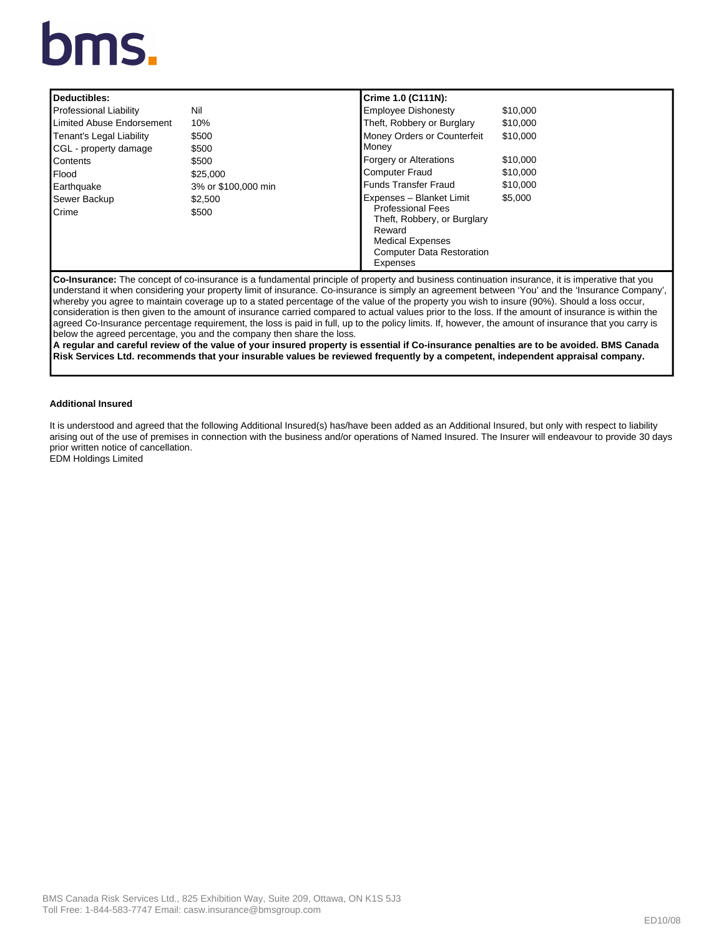# bms.

| Deductibles:                                                                                                                                           |                     | Crime 1.0 (C111N):                    |          |  |
|--------------------------------------------------------------------------------------------------------------------------------------------------------|---------------------|---------------------------------------|----------|--|
| <b>Professional Liability</b>                                                                                                                          | Nil                 | <b>Employee Dishonesty</b>            | \$10,000 |  |
| <b>Limited Abuse Endorsement</b>                                                                                                                       | 10%                 | Theft, Robbery or Burglary            | \$10,000 |  |
| Tenant's Legal Liability                                                                                                                               | \$500               | Money Orders or Counterfeit           | \$10,000 |  |
| CGL - property damage                                                                                                                                  | \$500               | Money                                 |          |  |
| Contents                                                                                                                                               | \$500               | <b>Forgery or Alterations</b>         | \$10,000 |  |
| Flood                                                                                                                                                  | \$25,000            | <b>Computer Fraud</b>                 | \$10,000 |  |
| Earthquake                                                                                                                                             | 3% or \$100,000 min | <b>Funds Transfer Fraud</b>           | \$10,000 |  |
| Sewer Backup                                                                                                                                           | \$2.500             | Expenses - Blanket Limit              | \$5,000  |  |
| Crime                                                                                                                                                  | \$500               | <b>Professional Fees</b>              |          |  |
|                                                                                                                                                        |                     | Theft, Robbery, or Burglary<br>Reward |          |  |
|                                                                                                                                                        |                     | <b>Medical Expenses</b>               |          |  |
|                                                                                                                                                        |                     | <b>Computer Data Restoration</b>      |          |  |
|                                                                                                                                                        |                     | Expenses                              |          |  |
| <b>Co-Insurance:</b> The concept of co-insurance is a fundamental principle of property and business continuation insurance, it is imperative that you |                     |                                       |          |  |
| lunderstand it when considering your property limit of insurance. Co-insurance is simply an agreement between 'You' and the 'Insurance Company'.       |                     |                                       |          |  |

understand it when considering your property limit of insurance. Co-insurance is simply an agreement between 'You' and the 'Insurance Company', whereby you agree to maintain coverage up to a stated percentage of the value of the property you wish to insure (90%). Should a loss occur, consideration is then given to the amount of insurance carried compared to actual values prior to the loss. If the amount of insurance is within the agreed Co-Insurance percentage requirement, the loss is paid in full, up to the policy limits. If, however, the amount of insurance that you carry is below the agreed percentage, you and the company then share the loss.

**A regular and careful review of the value of your insured property is essential if Co-insurance penalties are to be avoided. BMS Canada Risk Services Ltd. recommends that your insurable values be reviewed frequently by a competent, independent appraisal company.**

## **Additional Insured**

It is understood and agreed that the following Additional Insured(s) has/have been added as an Additional Insured, but only with respect to liability arising out of the use of premises in connection with the business and/or operations of Named Insured. The Insurer will endeavour to provide 30 days prior written notice of cancellation. EDM Holdings Limited

BMS Canada Risk Services Ltd., 825 Exhibition Way, Suite 209, Ottawa, ON K1S 5J3 Toll Free: 1-844-583-7747 Email: casw.insurance@bmsgroup.com